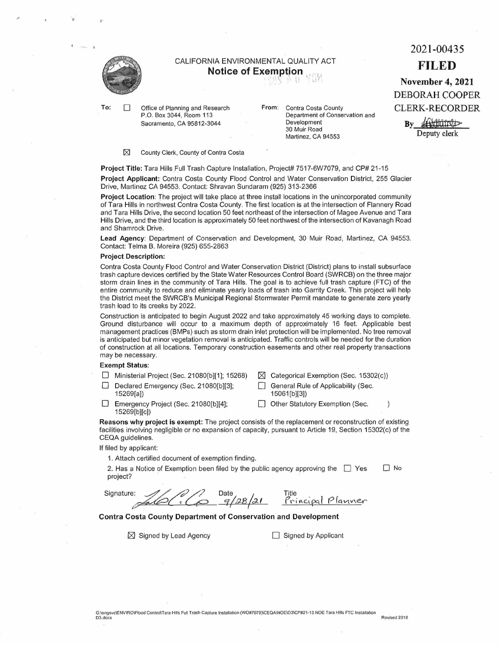

..

To:  $\Box$  Office of Planning and Research P.O. Box 3044, Room 113 Sacramento, CA 95812-3044

**From:** Contra Costa County Department of Conservation and Development 30 Muir Road Martinez, CA 94553

 $\boxtimes$  County Clerk, County of Contra Costa

Project Title: Tara Hills Full Trash Capture Installation, Project# 7517-6W7079, and CP# 21-15

**Project Applicant:** Contra Costa County Flood Control and Water Conservation District, 255 Glacier Drive, Martinez CA 94553. Contact: Shravan Sundaram (925) 313-2366

**Project Location:** The project will take place at three install locations in the unincorporated community of Tara Hills in northwest Contra Costa County. The first location is at the intersection of Flannery Road and Tara Hills Drive, the second location 50 feet northeast of the intersection of Magee Avenue and Tara Hills Drive, and the third location is approximately 50 feet northwest of the intersection of Kavanagh Road and Shamrock Drive.

**Lead Agency:** Department of Conservation and Development, 30 Muir Road, Martinez, CA 94553. Contact: Telma B. Moreira (925) 655-2863

### **Project Description:**

Contra Costa County Flood Control and Water Conservation District (District) plans to install subsurface trash capture devices certified by the State Water Resources Control Board (SWRCB) on the three major storm drain lines in the community of Tara Hills. The goal is to achieve full trash capture (FTC) of the entire community to reduce and eliminate yearly loads of trash into Garrity Creek. This project will help the District meet the SWRCB's Municipal Regional Stormwater Permit mandate to generate zero yearly trash load to its creeks by 2022.

Construction is anticipated to begin August 2022 and take approximately 45 working days to complete. Ground disturbance will occur to a maximum depth of approximately 16 feet. Applicable best management practices (BMPs) such as storm drain inlet protection will be implemented. No tree removal is anticipated but minor vegetation removal is anticipated. Traffic controls will be needed for the duration of construction at all locations. Temporary construction easements and other real property transactions may be necessary.

### **Exempt Status:**

| □ Ministerial Project (Sec. 21080[b][1]; 15268) | $\boxtimes$ Categorical Exemption (Sec. 15302(c)) |
|-------------------------------------------------|---------------------------------------------------|
| Declared Emergency (Sec. 21080[b][3];           | General Rule of Applicability (Sec.               |
| 15269[a])                                       | 15061[b][3]                                       |
|                                                 |                                                   |

D Emergency Project (Sec. 21080[b][4]; 15269[b][c])

Other Statutory Exemption (Sec.  $\lambda$ 

**Reasons why project is exempt:** The project consists of the replacement or reconstruction of existing facilities involving negligible or no expansion of capacity, pursuant to Article 19, Section 15302(c) of the CEQA guidelines.

If filed by applicant:

1. Attach certified document of exemption finding.

2. Has a Notice of Exemption been filed by the public agency approving the  $\Box$  Yes project?  $\Box$  No

filed by applicant:<br>1. Attach certified document of exemption finding.<br>2. Has a Notice of Exemption been filed by the put<br>project?<br>Signature:<br> $\frac{2}{\sqrt{2\pi}}\sqrt{\frac{2}{\sqrt{2}}\sqrt{2}}$  $9/28/21$ Title Principal *Planner* 

## **Contra Costa County Department of Conservation and Development**

 $\boxtimes$  Signed by Lead Agency  $\Box$  Signed by Applicant

# CALIFORNIA ENVIRONMENTAL QUALITY ACT **Notice of Exemption**<br>I:\n\ .'; i^ , ( . . .i

**November 4, 2021**  DEBORAH COOPER CLERK-RECORDER

2021-00435

**FILED** 

By Andrew By Deputy clerk durider<br>durid<br>clerk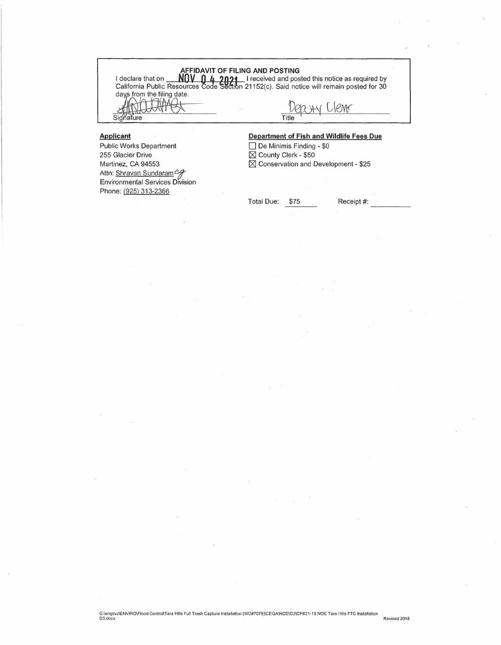**AFFIDAVIT OF FILING AND POSTING**<br>I declare that on **NOV Q 4 2021** I received and posted this notice as required by **CALIFORNIT OF FILING AND POSTING**<br>California Public Resources Code Section 21152(c). Said notice will remain posted for 30<br>days from the filing date. declare that on<br>California Public Reso<br>days from the filing dat<br>ANCORECTIVE AFFIDAVIT OF FILI alifornia Public Resource<br>ays from the filing date.

Signature Title

Public Works Department 255 Glacier Drive Martinez, CA 94553 Attn: Shravan Sundaram Environmental Services Division Phone: (925) 313-2366

**Applicant** 

 $1$ PM $\epsilon$ 

## **Department of Fish and Wildlife Fees Due**

 $\Box$  De Minimis Finding - \$0 ■ County Clerk - \$50  $% >$  Conservation and Development - \$25

Total Due: \$75 ---- Receipt #: -----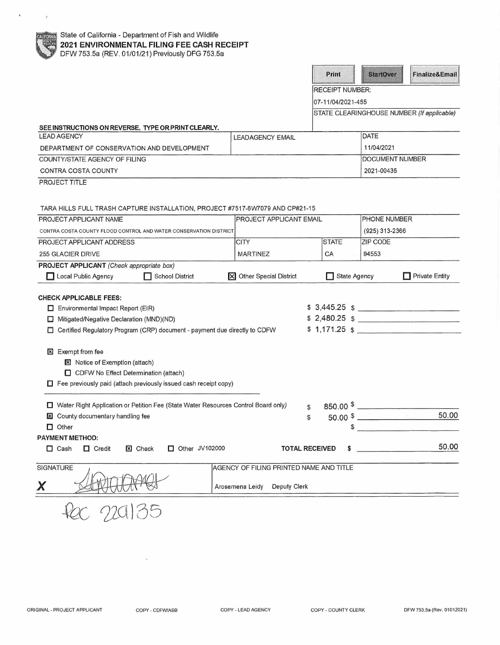$\hat{\sigma}$ 

 $\sim 7$ 

|                                                                                      |                                         | Print                  | <b>StartOver</b>       | <b>Finalize&amp;Email</b>                  |
|--------------------------------------------------------------------------------------|-----------------------------------------|------------------------|------------------------|--------------------------------------------|
|                                                                                      |                                         | <b>RECEIPT NUMBER:</b> |                        |                                            |
|                                                                                      |                                         | 07-11/04/2021-455      |                        |                                            |
|                                                                                      |                                         |                        |                        | STATE CLEARINGHOUSE NUMBER (If applicable) |
| SEE INSTRUCTIONS ON REVERSE. TYPE OR PRINT CLEARLY.                                  |                                         |                        |                        |                                            |
| <b>LEAD AGENCY</b>                                                                   | <b>LEADAGENCY EMAIL</b>                 |                        | <b>DATE</b>            |                                            |
| DEPARTMENT OF CONSERVATION AND DEVELOPMENT                                           |                                         |                        | 11/04/2021             |                                            |
| COUNTY/STATE AGENCY OF FILING                                                        |                                         |                        | DOCUMENT NUMBER        |                                            |
| <b>CONTRA COSTA COUNTY</b>                                                           |                                         | 2021-00435             |                        |                                            |
| PROJECT TITLE                                                                        |                                         |                        |                        |                                            |
|                                                                                      |                                         |                        |                        |                                            |
| TARA HILLS FULL TRASH CAPTURE INSTALLATION, PROJECT #7517-6W7079 AND CP#21-15        |                                         |                        |                        |                                            |
| PROJECT APPLICANT NAME                                                               | <b>PROJECT APPLICANT EMAIL</b>          |                        | PHONE NUMBER           |                                            |
| CONTRA COSTA COUNTY FLOOD CONTROL AND WATER CONSERVATION DISTRICT                    |                                         |                        | (925) 313-2366         |                                            |
| PROJECT APPLICANT ADDRESS                                                            | <b>CITY</b>                             | <b>STATE</b>           | ZIP CODE               |                                            |
| 255 GLACIER DRIVE                                                                    | <b>MARTINEZ</b>                         | CA                     | 94553                  |                                            |
| PROJECT APPLICANT (Check appropriate box)                                            |                                         |                        |                        |                                            |
| Local Public Agency<br>School District                                               | X Other Special District                | State Agency           |                        | $\Box$ Private Entity                      |
|                                                                                      |                                         |                        |                        |                                            |
| <b>CHECK APPLICABLE FEES:</b><br>Environmental Impact Report (EIR)                   |                                         |                        |                        | $$3,445.25$ $$$                            |
| Mitigated/Negative Declaration (MND)(ND)<br>O.                                       |                                         |                        |                        | $$2,480.25$ \$                             |
| Certified Regulatory Program (CRP) document - payment due directly to CDFW           |                                         |                        |                        | $$1,171.25$ $$$                            |
|                                                                                      |                                         |                        |                        |                                            |
| <b>x</b> Exempt from fee                                                             |                                         |                        |                        |                                            |
| <b>区</b> Notice of Exemption (attach)                                                |                                         |                        |                        |                                            |
| CDFW No Effect Determination (attach)                                                |                                         |                        |                        |                                            |
| $\Box$ Fee previously paid (attach previously issued cash receipt copy)              |                                         |                        |                        |                                            |
|                                                                                      |                                         |                        |                        |                                            |
| □ Water Right Application or Petition Fee (State Water Resources Control Board only) |                                         | \$                     | $850.00$ $\frac{1}{2}$ |                                            |
| County documentary handling fee<br>×                                                 |                                         | \$                     |                        | 50.00                                      |
|                                                                                      |                                         |                        |                        |                                            |
| $\Box$ Other                                                                         |                                         |                        |                        |                                            |
|                                                                                      |                                         |                        |                        |                                            |
| $\Box$ Credit<br><b>X</b> Check<br>$\Box$ Other JV102000<br>$\Box$ Cash              |                                         | <b>TOTAL RECEIVED</b>  |                        | 50.00                                      |
| <b>PAYMENT METHOD:</b>                                                               |                                         |                        |                        |                                            |
| SIGNATURE<br>X                                                                       | AGENCY OF FILING PRINTED NAME AND TITLE |                        |                        |                                            |

 $\mathcal{A}$